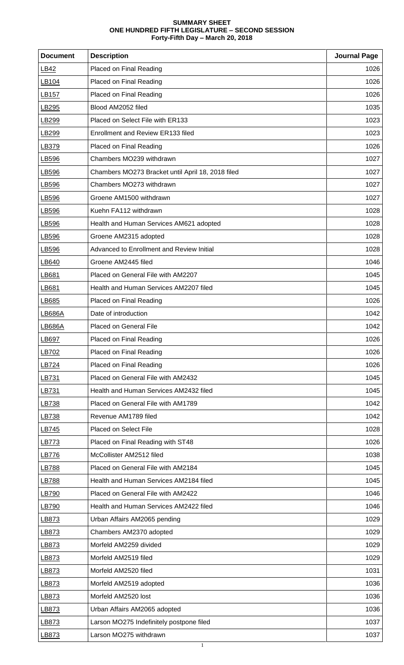## **SUMMARY SHEET ONE HUNDRED FIFTH LEGISLATURE – SECOND SESSION Forty-Fifth Day – March 20, 2018**

| <b>Document</b>   | <b>Description</b>                                | <b>Journal Page</b> |
|-------------------|---------------------------------------------------|---------------------|
| LB42              | <b>Placed on Final Reading</b>                    | 1026                |
| LB104             | Placed on Final Reading                           | 1026                |
| LB157             | Placed on Final Reading                           | 1026                |
| LB295             | Blood AM2052 filed                                | 1035                |
| LB <sub>299</sub> | Placed on Select File with ER133                  | 1023                |
| LB299             | Enrollment and Review ER133 filed                 | 1023                |
| LB379             | Placed on Final Reading                           | 1026                |
| LB596             | Chambers MO239 withdrawn                          | 1027                |
| LB596             | Chambers MO273 Bracket until April 18, 2018 filed | 1027                |
| LB596             | Chambers MO273 withdrawn                          | 1027                |
| LB596             | Groene AM1500 withdrawn                           | 1027                |
| LB596             | Kuehn FA112 withdrawn                             | 1028                |
| LB596             | Health and Human Services AM621 adopted           | 1028                |
| LB596             | Groene AM2315 adopted                             | 1028                |
| LB596             | Advanced to Enrollment and Review Initial         | 1028                |
| LB640             | Groene AM2445 filed                               | 1046                |
| LB681             | Placed on General File with AM2207                | 1045                |
| LB681             | Health and Human Services AM2207 filed            | 1045                |
| LB685             | Placed on Final Reading                           | 1026                |
| LB686A            | Date of introduction                              | 1042                |
| <b>LB686A</b>     | <b>Placed on General File</b>                     | 1042                |
| LB697             | Placed on Final Reading                           | 1026                |
| LB702             | Placed on Final Reading                           | 1026                |
| LB724             | Placed on Final Reading                           | 1026                |
| LB731             | Placed on General File with AM2432                | 1045                |
| LB731             | Health and Human Services AM2432 filed            | 1045                |
| LB738             | Placed on General File with AM1789                | 1042                |
| LB738             | Revenue AM1789 filed                              | 1042                |
| <u>LB745</u>      | Placed on Select File                             | 1028                |
| LB773             | Placed on Final Reading with ST48                 | 1026                |
| LB776             | McCollister AM2512 filed                          | 1038                |
| LB788             | Placed on General File with AM2184                | 1045                |
| LB788             | Health and Human Services AM2184 filed            | 1045                |
| LB790             | Placed on General File with AM2422                | 1046                |
| LB790             | Health and Human Services AM2422 filed            | 1046                |
| LB873             | Urban Affairs AM2065 pending                      | 1029                |
| LB873             | Chambers AM2370 adopted                           | 1029                |
| LB873             | Morfeld AM2259 divided                            | 1029                |
| LB873             | Morfeld AM2519 filed                              | 1029                |
| LB873             | Morfeld AM2520 filed                              | 1031                |
| LB873             | Morfeld AM2519 adopted                            | 1036                |
| LB873             | Morfeld AM2520 lost                               | 1036                |
| LB873             | Urban Affairs AM2065 adopted                      | 1036                |
| LB873             | Larson MO275 Indefinitely postpone filed          | 1037                |
| LB873             | Larson MO275 withdrawn                            | 1037                |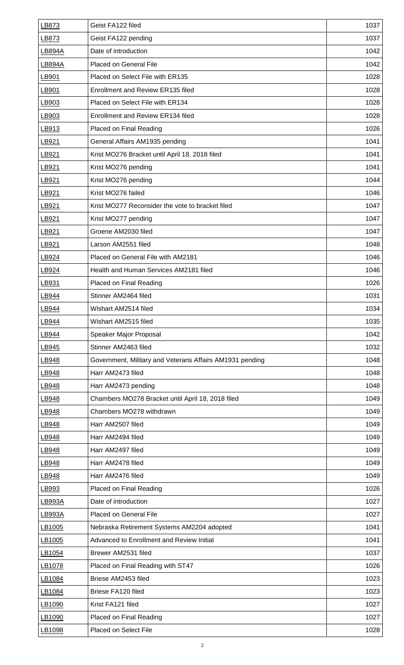| LB873  | Geist FA122 filed                                        | 1037 |
|--------|----------------------------------------------------------|------|
| LB873  | Geist FA122 pending                                      | 1037 |
| LB894A | Date of introduction                                     | 1042 |
| LB894A | Placed on General File                                   | 1042 |
| LB901  | Placed on Select File with ER135                         | 1028 |
| LB901  | <b>Enrollment and Review ER135 filed</b>                 | 1028 |
| LB903  | Placed on Select File with ER134                         | 1028 |
| LB903  | Enrollment and Review ER134 filed                        | 1028 |
| LB913  | Placed on Final Reading                                  | 1026 |
| LB921  | General Affairs AM1935 pending                           | 1041 |
| LB921  | Krist MO276 Bracket until April 18, 2018 filed           | 1041 |
| LB921  | Krist MO276 pending                                      | 1041 |
| LB921  | Krist MO276 pending                                      | 1044 |
| LB921  | Krist MO276 failed                                       | 1046 |
| LB921  | Krist MO277 Reconsider the vote to bracket filed         | 1047 |
| LB921  | Krist MO277 pending                                      | 1047 |
| LB921  | Groene AM2030 filed                                      | 1047 |
| LB921  | Larson AM2551 filed                                      | 1048 |
| LB924  | Placed on General File with AM2181                       | 1046 |
| LB924  | Health and Human Services AM2181 filed                   | 1046 |
| LB931  | Placed on Final Reading                                  | 1026 |
| LB944  | Stinner AM2464 filed                                     | 1031 |
| LB944  | Wishart AM2514 filed                                     | 1034 |
| LB944  | Wishart AM2515 filed                                     | 1035 |
| LB944  | Speaker Major Proposal                                   | 1042 |
| LB945  | Stinner AM2463 filed                                     | 1032 |
| LB948  | Government, Military and Veterans Affairs AM1931 pending | 1048 |
| LB948  | Harr AM2473 filed                                        | 1048 |
| LB948  | Harr AM2473 pending                                      | 1048 |
| LB948  | Chambers MO278 Bracket until April 18, 2018 filed        | 1049 |
| LB948  | Chambers MO278 withdrawn                                 | 1049 |
| LB948  | Harr AM2507 filed                                        | 1049 |
| LB948  | Harr AM2494 filed                                        | 1049 |
| LB948  | Harr AM2497 filed                                        | 1049 |
| LB948  | Harr AM2478 filed                                        | 1049 |
| LB948  | Harr AM2476 filed                                        | 1049 |
| LB993  | Placed on Final Reading                                  | 1026 |
| LB993A | Date of introduction                                     | 1027 |
| LB993A | Placed on General File                                   | 1027 |
| LB1005 | Nebraska Retirement Systems AM2204 adopted               | 1041 |
| LB1005 | Advanced to Enrollment and Review Initial                | 1041 |
| LB1054 | Brewer AM2531 filed                                      | 1037 |
| LB1078 | Placed on Final Reading with ST47                        | 1026 |
| LB1084 | Briese AM2453 filed                                      | 1023 |
| LB1084 | Briese FA120 filed                                       | 1023 |
| LB1090 | Krist FA121 filed                                        | 1027 |
| LB1090 | Placed on Final Reading                                  | 1027 |
| LB1098 | Placed on Select File                                    | 1028 |